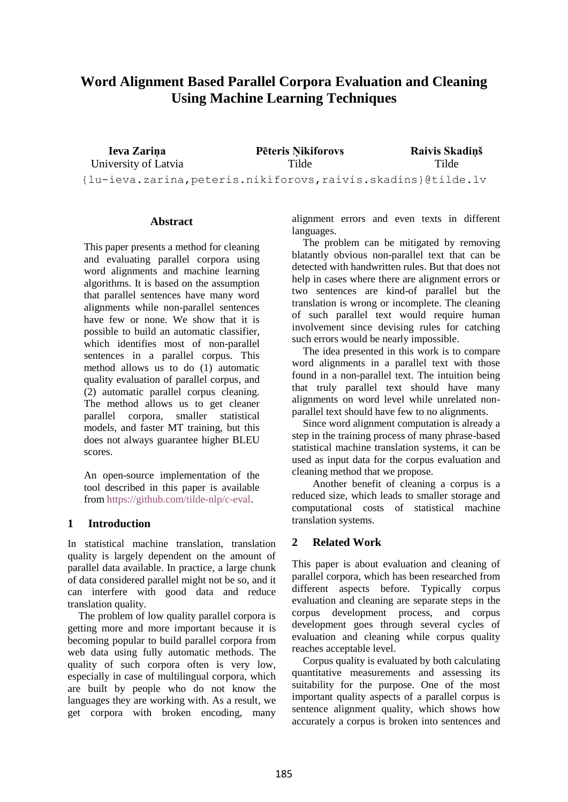# **Word Alignment Based Parallel Corpora Evaluation and Cleaning Using Machine Learning Techniques**

**Ieva Zariņa** University of Latvia **Pēteris Ņikiforovs** Tilde **Raivis Skadiņš** Tilde {lu-ieva.zarina,peteris.nikiforovs,raivis.skadins}@tilde.lv

### **Abstract**

This paper presents a method for cleaning and evaluating parallel corpora using word alignments and machine learning algorithms. It is based on the assumption that parallel sentences have many word alignments while non-parallel sentences have few or none. We show that it is possible to build an automatic classifier, which identifies most of non-parallel sentences in a parallel corpus. This method allows us to do (1) automatic quality evaluation of parallel corpus, and (2) automatic parallel corpus cleaning. The method allows us to get cleaner parallel corpora, smaller statistical models, and faster MT training, but this does not always guarantee higher BLEU scores.

An open-source implementation of the tool described in this paper is available from [https://github.com/tilde-nlp/c-eval.](https://github.com/tilde-nlp/c-eval)

## **1 Introduction**

In statistical machine translation, translation quality is largely dependent on the amount of parallel data available. In practice, a large chunk of data considered parallel might not be so, and it can interfere with good data and reduce translation quality.

The problem of low quality parallel corpora is getting more and more important because it is becoming popular to build parallel corpora from web data using fully automatic methods. The quality of such corpora often is very low, especially in case of multilingual corpora, which are built by people who do not know the languages they are working with. As a result, we get corpora with broken encoding, many

alignment errors and even texts in different languages.

The problem can be mitigated by removing blatantly obvious non-parallel text that can be detected with handwritten rules. But that does not help in cases where there are alignment errors or two sentences are kind-of parallel but the translation is wrong or incomplete. The cleaning of such parallel text would require human involvement since devising rules for catching such errors would be nearly impossible.

The idea presented in this work is to compare word alignments in a parallel text with those found in a non-parallel text. The intuition being that truly parallel text should have many alignments on word level while unrelated nonparallel text should have few to no alignments.

Since word alignment computation is already a step in the training process of many phrase-based statistical machine translation systems, it can be used as input data for the corpus evaluation and cleaning method that we propose.

Another benefit of cleaning a corpus is a reduced size, which leads to smaller storage and computational costs of statistical machine translation systems.

## **2 Related Work**

This paper is about evaluation and cleaning of parallel corpora, which has been researched from different aspects before. Typically corpus evaluation and cleaning are separate steps in the corpus development process, and corpus development goes through several cycles of evaluation and cleaning while corpus quality reaches acceptable level.

Corpus quality is evaluated by both calculating quantitative measurements and assessing its suitability for the purpose. One of the most important quality aspects of a parallel corpus is sentence alignment quality, which shows how accurately a corpus is broken into sentences and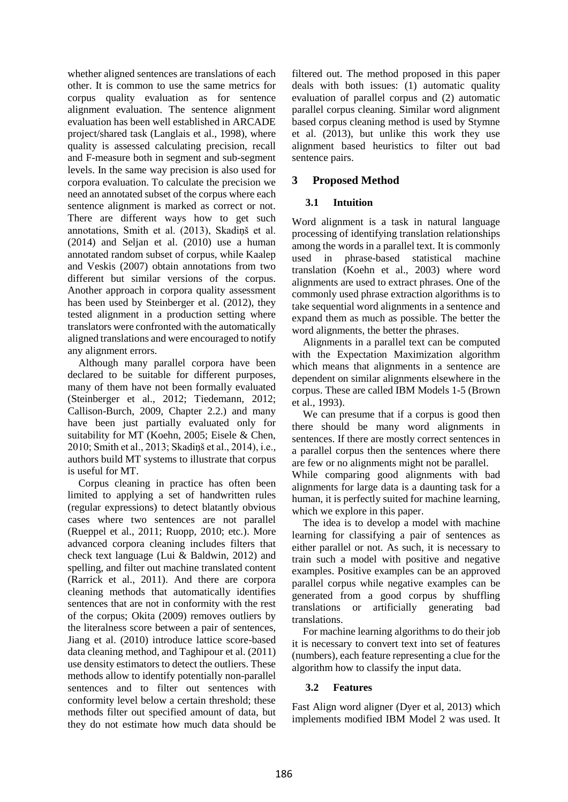whether aligned sentences are translations of each other. It is common to use the same metrics for corpus quality evaluation as for sentence alignment evaluation. The sentence alignment evaluation has been well established in ARCADE project/shared task (Langlais et al., 1998), where quality is assessed calculating precision, recall and F-measure both in segment and sub-segment levels. In the same way precision is also used for corpora evaluation. To calculate the precision we need an annotated subset of the corpus where each sentence alignment is marked as correct or not. There are different ways how to get such annotations, Smith et al. (2013), Skadiņš et al. (2014) and Seljan et al. (2010) use a human annotated random subset of corpus, while Kaalep and Veskis (2007) obtain annotations from two different but similar versions of the corpus. Another approach in corpora quality assessment has been used by Steinberger et al. (2012), they tested alignment in a production setting where translators were confronted with the automatically aligned translations and were encouraged to notify any alignment errors.

Although many parallel corpora have been declared to be suitable for different purposes, many of them have not been formally evaluated (Steinberger et al., 2012; Tiedemann, 2012; Callison-Burch, 2009, Chapter 2.2.) and many have been just partially evaluated only for suitability for MT (Koehn, 2005; Eisele & Chen, 2010; Smith et al., 2013; Skadiņš et al., 2014), i.e., authors build MT systems to illustrate that corpus is useful for MT.

Corpus cleaning in practice has often been limited to applying a set of handwritten rules (regular expressions) to detect blatantly obvious cases where two sentences are not parallel (Rueppel et al., 2011; Ruopp, 2010; etc.). More advanced corpora cleaning includes filters that check text language (Lui & Baldwin, 2012) and spelling, and filter out machine translated content (Rarrick et al., 2011). And there are corpora cleaning methods that automatically identifies sentences that are not in conformity with the rest of the corpus; Okita (2009) removes outliers by the literalness score between a pair of sentences, Jiang et al. (2010) introduce lattice score-based data cleaning method, and Taghipour et al. (2011) use density estimators to detect the outliers. These methods allow to identify potentially non-parallel sentences and to filter out sentences with conformity level below a certain threshold; these methods filter out specified amount of data, but they do not estimate how much data should be

filtered out. The method proposed in this paper deals with both issues: (1) automatic quality evaluation of parallel corpus and (2) automatic parallel corpus cleaning. Similar word alignment based corpus cleaning method is used by Stymne et al. (2013), but unlike this work they use alignment based heuristics to filter out bad sentence pairs.

# **3 Proposed Method**

## **3.1 Intuition**

Word alignment is a task in natural language processing of identifying translation relationships among the words in a parallel text. It is commonly used in phrase-based statistical machine translation (Koehn et al., 2003) where word alignments are used to extract phrases. One of the commonly used phrase extraction algorithms is to take sequential word alignments in a sentence and expand them as much as possible. The better the word alignments, the better the phrases.

Alignments in a parallel text can be computed with the Expectation Maximization algorithm which means that alignments in a sentence are dependent on similar alignments elsewhere in the corpus. These are called IBM Models 1-5 (Brown et al., 1993).

We can presume that if a corpus is good then there should be many word alignments in sentences. If there are mostly correct sentences in a parallel corpus then the sentences where there are few or no alignments might not be parallel.

While comparing good alignments with bad alignments for large data is a daunting task for a human, it is perfectly suited for machine learning, which we explore in this paper.

The idea is to develop a model with machine learning for classifying a pair of sentences as either parallel or not. As such, it is necessary to train such a model with positive and negative examples. Positive examples can be an approved parallel corpus while negative examples can be generated from a good corpus by shuffling translations or artificially generating bad translations.

For machine learning algorithms to do their job it is necessary to convert text into set of features (numbers), each feature representing a clue for the algorithm how to classify the input data.

## **3.2 Features**

Fast Align word aligner (Dyer et al, 2013) which implements modified IBM Model 2 was used. It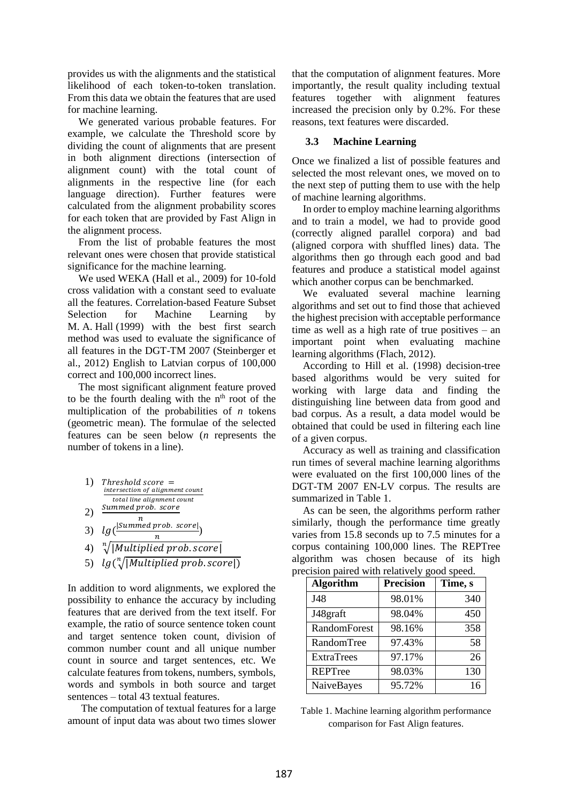provides us with the alignments and the statistical likelihood of each token-to-token translation. From this data we obtain the features that are used for machine learning.

We generated various probable features. For example, we calculate the Threshold score by dividing the count of alignments that are present in both alignment directions (intersection of alignment count) with the total count of alignments in the respective line (for each language direction). Further features were calculated from the alignment probability scores for each token that are provided by Fast Align in the alignment process.

From the list of probable features the most relevant ones were chosen that provide statistical significance for the machine learning.

We used WEKA (Hall et al., 2009) for 10-fold cross validation with a constant seed to evaluate all the features. Correlation-based Feature Subset Selection for Machine Learning by M. A. Hall (1999) with the best first search method was used to evaluate the significance of all features in the DGT-TM 2007 (Steinberger et al., 2012) English to Latvian corpus of 100,000 correct and 100,000 incorrect lines.

The most significant alignment feature proved to be the fourth dealing with the  $n<sup>th</sup>$  root of the multiplication of the probabilities of *n* tokens (geometric mean). The formulae of the selected features can be seen below (*n* represents the number of tokens in a line).

| 1) | $Threshold score =$<br>intersection of alignment count |
|----|--------------------------------------------------------|
| 2) | total line alignment count<br>Summed prob. score       |
| 3) | n.<br>$lg($ <sup>[Summed prob. score]</sup>            |
| 4) | n.<br>$\sqrt[n]{ Multiplied prob.score }$              |

5)  $lg(\sqrt[n]{|Multiplied prob.score|)}$ 

In addition to word alignments, we explored the possibility to enhance the accuracy by including features that are derived from the text itself. For example, the ratio of source sentence token count and target sentence token count, division of common number count and all unique number count in source and target sentences, etc. We calculate features from tokens, numbers, symbols, words and symbols in both source and target sentences – total 43 textual features.

The computation of textual features for a large amount of input data was about two times slower

that the computation of alignment features. More importantly, the result quality including textual features together with alignment features increased the precision only by 0.2%. For these reasons, text features were discarded.

#### **3.3 Machine Learning**

Once we finalized a list of possible features and selected the most relevant ones, we moved on to the next step of putting them to use with the help of machine learning algorithms.

In order to employ machine learning algorithms and to train a model, we had to provide good (correctly aligned parallel corpora) and bad (aligned corpora with shuffled lines) data. The algorithms then go through each good and bad features and produce a statistical model against which another corpus can be benchmarked.

We evaluated several machine learning algorithms and set out to find those that achieved the highest precision with acceptable performance time as well as a high rate of true positives – an important point when evaluating machine learning algorithms (Flach, 2012).

According to Hill et al. (1998) decision-tree based algorithms would be very suited for working with large data and finding the distinguishing line between data from good and bad corpus. As a result, a data model would be obtained that could be used in filtering each line of a given corpus.

Accuracy as well as training and classification run times of several machine learning algorithms were evaluated on the first 100,000 lines of the DGT-TM 2007 EN-LV corpus. The results are summarized in [Table 1.](#page-2-0)

As can be seen, the algorithms perform rather similarly, though the performance time greatly varies from 15.8 seconds up to 7.5 minutes for a corpus containing 100,000 lines. The REPTree algorithm was chosen because of its high precision paired with relatively good speed.

| <b>Algorithm</b>    | <b>Precision</b> | Time, s |
|---------------------|------------------|---------|
| J48                 | 98.01%           | 340     |
| J48graft            | 98.04%           | 450     |
| <b>RandomForest</b> | 98.16%           | 358     |
| RandomTree          | 97.43%           | 58      |
| <b>ExtraTrees</b>   | 97.17%           | 26      |
| <b>REPTree</b>      | 98.03%           | 130     |
| NaiveBayes          | 95.72%           | 16      |

<span id="page-2-0"></span>Table 1. Machine learning algorithm performance comparison for Fast Align features.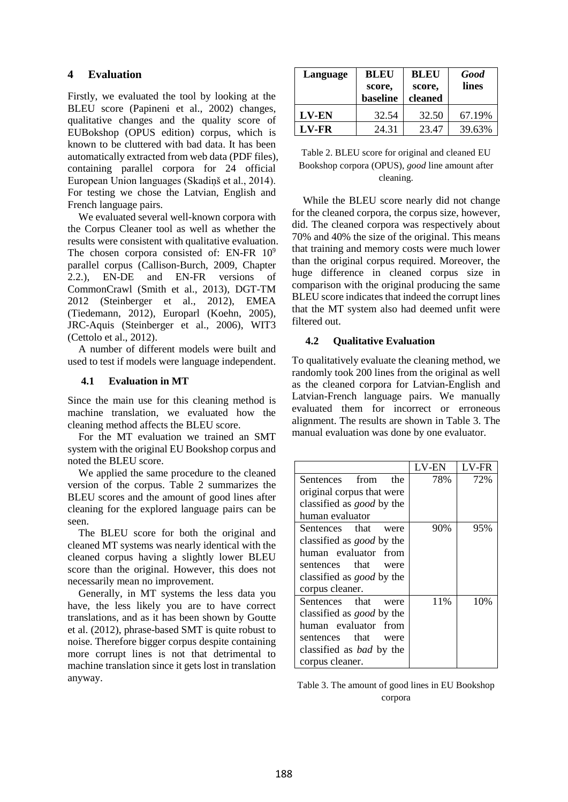# **4 Evaluation**

Firstly, we evaluated the tool by looking at the BLEU score (Papineni et al., 2002) changes, qualitative changes and the quality score of EUBokshop (OPUS edition) corpus, which is known to be cluttered with bad data. It has been automatically extracted from web data (PDF files), containing parallel corpora for 24 official European Union languages (Skadiņš et al., 2014). For testing we chose the Latvian, English and French language pairs.

We evaluated several well-known corpora with the Corpus Cleaner tool as well as whether the results were consistent with qualitative evaluation. The chosen corpora consisted of: EN-FR  $10^9$ parallel corpus (Callison-Burch, 2009, Chapter 2.2.), EN-DE and EN-FR versions of CommonCrawl (Smith et al., 2013), DGT-TM 2012 (Steinberger et al., 2012), EMEA (Tiedemann, 2012), Europarl (Koehn, 2005), JRC-Aquis (Steinberger et al., 2006), WIT3 (Cettolo et al., 2012).

A number of different models were built and used to test if models were language independent.

### **4.1 Evaluation in MT**

Since the main use for this cleaning method is machine translation, we evaluated how the cleaning method affects the BLEU score.

For the MT evaluation we trained an SMT system with the original EU Bookshop corpus and noted the BLEU score.

We applied the same procedure to the cleaned version of the corpus. [Table 2](#page-3-0) summarizes the BLEU scores and the amount of good lines after cleaning for the explored language pairs can be seen.

The BLEU score for both the original and cleaned MT systems was nearly identical with the cleaned corpus having a slightly lower BLEU score than the original. However, this does not necessarily mean no improvement.

Generally, in MT systems the less data you have, the less likely you are to have correct translations, and as it has been shown by Goutte et al. (2012), phrase-based SMT is quite robust to noise. Therefore bigger corpus despite containing more corrupt lines is not that detrimental to machine translation since it gets lost in translation anyway.

| Language | <b>BLEU</b><br>score,<br>baseline | <b>BLEU</b><br>score,<br>cleaned | <b>Good</b><br>lines |
|----------|-----------------------------------|----------------------------------|----------------------|
| LV-EN    | 32.54                             | 32.50                            | 67.19%               |
| LV-FR    | 24.31                             | 23.47                            | 39.63%               |

<span id="page-3-0"></span>

| Table 2. BLEU score for original and cleaned EU |
|-------------------------------------------------|
| Bookshop corpora (OPUS), good line amount after |
| cleaning.                                       |

While the BLEU score nearly did not change for the cleaned corpora, the corpus size, however, did. The cleaned corpora was respectively about 70% and 40% the size of the original. This means that training and memory costs were much lower than the original corpus required. Moreover, the huge difference in cleaned corpus size in comparison with the original producing the same BLEU score indicates that indeed the corrupt lines that the MT system also had deemed unfit were filtered out.

## **4.2 Qualitative Evaluation**

To qualitatively evaluate the cleaning method, we randomly took 200 lines from the original as well as the cleaned corpora for Latvian-English and Latvian-French language pairs. We manually evaluated them for incorrect or erroneous alignment. The results are shown in [Table 3.](#page-3-1) The manual evaluation was done by one evaluator.

|                                  | LV-EN | <b>LV-FR</b> |
|----------------------------------|-------|--------------|
| Sentences from<br>the            | 78%   | 72%          |
| original corpus that were        |       |              |
| classified as <i>good</i> by the |       |              |
| human evaluator                  |       |              |
| Sentences that<br>were           | 90\%  | 95%          |
| classified as <i>good</i> by the |       |              |
| human evaluator from             |       |              |
| sentences that<br>were           |       |              |
| classified as <i>good</i> by the |       |              |
| corpus cleaner.                  |       |              |
| Sentences that<br>were           | 11\%  | 10%          |
| classified as <i>good</i> by the |       |              |
| human evaluator from             |       |              |
| sentences that<br>were           |       |              |
| classified as <i>bad</i> by the  |       |              |
| corpus cleaner.                  |       |              |

<span id="page-3-1"></span>

| Table 3. The amount of good lines in EU Bookshop |
|--------------------------------------------------|
| corpora                                          |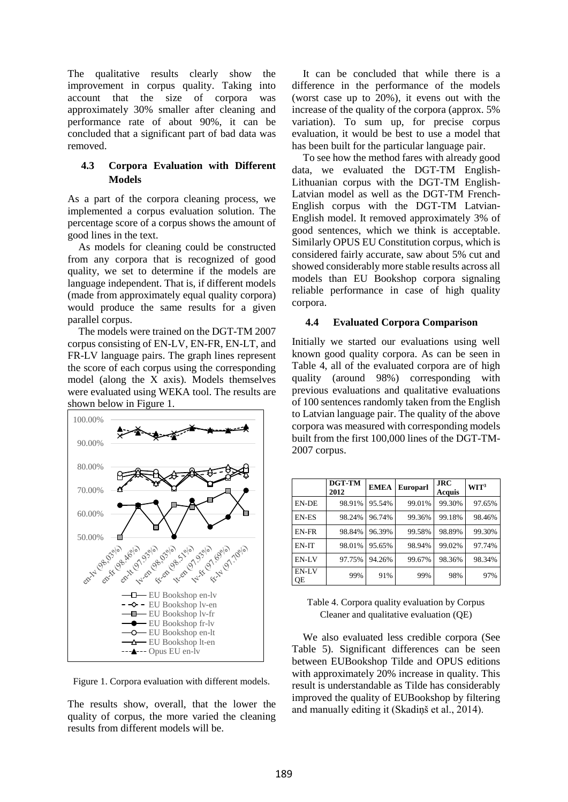The qualitative results clearly show the improvement in corpus quality. Taking into account that the size of corpora was approximately 30% smaller after cleaning and performance rate of about 90%, it can be concluded that a significant part of bad data was removed.

### **4.3 Corpora Evaluation with Different Models**

As a part of the corpora cleaning process, we implemented a corpus evaluation solution. The percentage score of a corpus shows the amount of good lines in the text.

As models for cleaning could be constructed from any corpora that is recognized of good quality, we set to determine if the models are language independent. That is, if different models (made from approximately equal quality corpora) would produce the same results for a given parallel corpus.

The models were trained on the DGT-TM 2007 corpus consisting of EN-LV, EN-FR, EN-LT, and FR-LV language pairs. The graph lines represent the score of each corpus using the corresponding model (along the X axis). Models themselves were evaluated using WEKA tool. The results are shown below in [Figure 1.](#page-4-0)



<span id="page-4-0"></span>Figure 1. Corpora evaluation with different models.

The results show, overall, that the lower the quality of corpus, the more varied the cleaning results from different models will be.

It can be concluded that while there is a difference in the performance of the models (worst case up to 20%), it evens out with the increase of the quality of the corpora (approx. 5% variation). To sum up, for precise corpus evaluation, it would be best to use a model that has been built for the particular language pair.

To see how the method fares with already good data, we evaluated the DGT-TM English-Lithuanian corpus with the DGT-TM English-Latvian model as well as the DGT-TM French-English corpus with the DGT-TM Latvian-English model. It removed approximately 3% of good sentences, which we think is acceptable. Similarly OPUS EU Constitution corpus, which is considered fairly accurate, saw about 5% cut and showed considerably more stable results across all models than EU Bookshop corpora signaling reliable performance in case of high quality corpora.

#### **4.4 Evaluated Corpora Comparison**

Initially we started our evaluations using well known good quality corpora. As can be seen in [Table 4,](#page-4-1) all of the evaluated corpora are of high quality (around 98%) corresponding with previous evaluations and qualitative evaluations of 100 sentences randomly taken from the English to Latvian language pair. The quality of the above corpora was measured with corresponding models built from the first 100,000 lines of the DGT-TM-2007 corpus.

|              | DGT-TM<br>2012 | <b>EMEA</b> | <b>Europarl</b> | <b>JRC</b><br>Acquis | WT <sup>3</sup> |
|--------------|----------------|-------------|-----------------|----------------------|-----------------|
| EN-DE        | 98.91%         | 95.54%      | 99.01%          | 99.30%               | 97.65%          |
| EN-ES        | 98.24%         | 96.74%      | 99.36%          | 99.18%               | 98.46%          |
| EN-FR        | 98.84%         | 96.39%      | 99.58%          | 98.89%               | 99.30%          |
| <b>EN-IT</b> | 98.01%         | 95.65%      | 98.94%          | 99.02%               | 97.74%          |
| EN-LV        | 97.75%         | 94.26%      | 99.67%          | 98.36%               | 98.34%          |
| EN-LV<br>QE  | 99%            | 91%         | 99%             | 98%                  | 97%             |

<span id="page-4-1"></span>Table 4. Corpora quality evaluation by Corpus Cleaner and qualitative evaluation (QE)

We also evaluated less credible corpora (See [Table 5\)](#page-5-0). Significant differences can be seen between EUBookshop Tilde and OPUS editions with approximately 20% increase in quality. This result is understandable as Tilde has considerably improved the quality of EUBookshop by filtering and manually editing it (Skadiņš et al., 2014).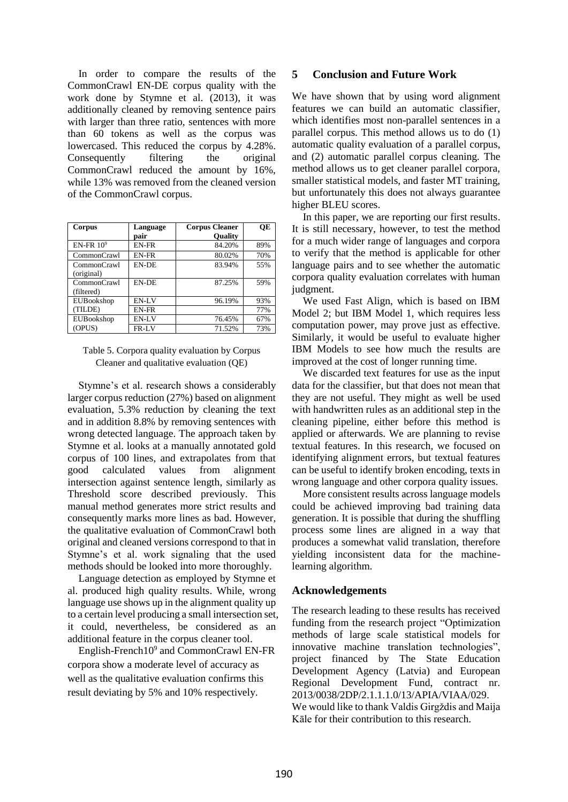In order to compare the results of the CommonCrawl EN-DE corpus quality with the work done by Stymne et al. (2013), it was additionally cleaned by removing sentence pairs with larger than three ratio, sentences with more than 60 tokens as well as the corpus was lowercased. This reduced the corpus by 4.28%. Consequently filtering the original CommonCrawl reduced the amount by 16%, while 13% was removed from the cleaned version of the CommonCrawl corpus.

| Corpus                    | Language     | <b>Corpus Cleaner</b> | OE  |
|---------------------------|--------------|-----------------------|-----|
|                           | pair         | <b>Quality</b>        |     |
| $EN$ -FR $10^9$           | EN-FR        | 84.20%                | 89% |
| CommonCrawl               | EN-FR        | 80.02%                | 70% |
| CommonCrawl<br>(original) | <b>EN-DE</b> | 83.94%                | 55% |
| CommonCrawl<br>(filtered) | <b>EN-DE</b> | 87.25%                | 59% |
| EUBookshop                | EN-LV        | 96.19%                | 93% |
| (TILDE)                   | EN-FR        |                       | 77% |
| EUBookshop                | EN-LV        | 76.45%                | 67% |
| (OPUS)                    | FR-LV        | 71.52%                | 73% |

## <span id="page-5-0"></span>Table 5. Corpora quality evaluation by Corpus Cleaner and qualitative evaluation (QE)

Stymne's et al. research shows a considerably larger corpus reduction (27%) based on alignment evaluation, 5.3% reduction by cleaning the text and in addition 8.8% by removing sentences with wrong detected language. The approach taken by Stymne et al. looks at a manually annotated gold corpus of 100 lines, and extrapolates from that good calculated values from alignment intersection against sentence length, similarly as Threshold score described previously. This manual method generates more strict results and consequently marks more lines as bad. However, the qualitative evaluation of CommonCrawl both original and cleaned versions correspond to that in Stymne's et al. work signaling that the used methods should be looked into more thoroughly.

Language detection as employed by Stymne et al. produced high quality results. While, wrong language use shows up in the alignment quality up to a certain level producing a small intersection set, it could, nevertheless, be considered as an additional feature in the corpus cleaner tool.

English-French10<sup>9</sup> and CommonCrawl EN-FR corpora show a moderate level of accuracy as well as the qualitative evaluation confirms this result deviating by 5% and 10% respectively.

## **5 Conclusion and Future Work**

We have shown that by using word alignment features we can build an automatic classifier, which identifies most non-parallel sentences in a parallel corpus. This method allows us to do (1) automatic quality evaluation of a parallel corpus, and (2) automatic parallel corpus cleaning. The method allows us to get cleaner parallel corpora, smaller statistical models, and faster MT training, but unfortunately this does not always guarantee higher BLEU scores.

In this paper, we are reporting our first results. It is still necessary, however, to test the method for a much wider range of languages and corpora to verify that the method is applicable for other language pairs and to see whether the automatic corpora quality evaluation correlates with human judgment.

We used Fast Align, which is based on IBM Model 2; but IBM Model 1, which requires less computation power, may prove just as effective. Similarly, it would be useful to evaluate higher IBM Models to see how much the results are improved at the cost of longer running time.

We discarded text features for use as the input data for the classifier, but that does not mean that they are not useful. They might as well be used with handwritten rules as an additional step in the cleaning pipeline, either before this method is applied or afterwards. We are planning to revise textual features. In this research, we focused on identifying alignment errors, but textual features can be useful to identify broken encoding, texts in wrong language and other corpora quality issues.

More consistent results across language models could be achieved improving bad training data generation. It is possible that during the shuffling process some lines are aligned in a way that produces a somewhat valid translation, therefore yielding inconsistent data for the machinelearning algorithm.

## **Acknowledgements**

The research leading to these results has received funding from the research project "Optimization methods of large scale statistical models for innovative machine translation technologies", project financed by The State Education Development Agency (Latvia) and European Regional Development Fund, contract nr. 2013/0038/2DP/2.1.1.1.0/13/APIA/VIAA/029. We would like to thank Valdis Girgždis and Maija Kāle for their contribution to this research.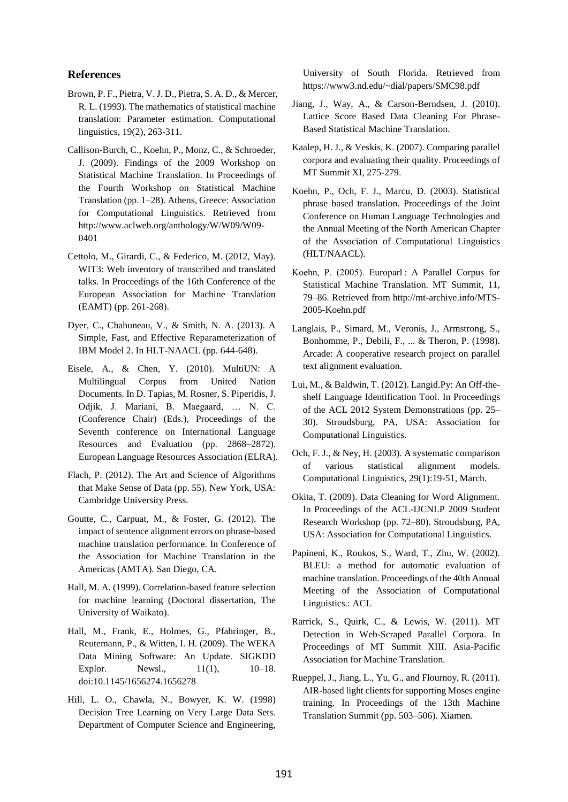#### **References**

- Brown, P. F., Pietra, V. J. D., Pietra, S. A. D., & Mercer, R. L. (1993). The mathematics of statistical machine translation: Parameter estimation. Computational linguistics, 19(2), 263-311.
- Callison-Burch, C., Koehn, P., Monz, C., & Schroeder, J. (2009). Findings of the 2009 Workshop on Statistical Machine Translation. In Proceedings of the Fourth Workshop on Statistical Machine Translation (pp. 1–28). Athens, Greece: Association for Computational Linguistics. Retrieved from http://www.aclweb.org/anthology/W/W09/W09- 0401
- Cettolo, M., Girardi, C., & Federico, M. (2012, May). WIT3: Web inventory of transcribed and translated talks. In Proceedings of the 16th Conference of the European Association for Machine Translation (EAMT) (pp. 261-268).
- Dyer, C., Chahuneau, V., & Smith, N. A. (2013). A Simple, Fast, and Effective Reparameterization of IBM Model 2. In HLT-NAACL (pp. 644-648).
- Eisele, A., & Chen, Y. (2010). MultiUN: A Multilingual Corpus from United Nation Documents. In D. Tapias, M. Rosner, S. Piperidis, J. Odjik, J. Mariani, B. Maegaard, … N. C. (Conference Chair) (Eds.), Proceedings of the Seventh conference on International Language Resources and Evaluation (pp. 2868–2872). European Language Resources Association (ELRA).
- Flach, P. (2012). The Art and Science of Algorithms that Make Sense of Data (pp. 55). New York, USA: Cambridge University Press.
- Goutte, C., Carpuat, M., & Foster, G. (2012). The impact of sentence alignment errors on phrase-based machine translation performance. In Conference of the Association for Machine Translation in the Americas (AMTA). San Diego, CA.
- Hall, M. A. (1999). Correlation-based feature selection for machine learning (Doctoral dissertation, The University of Waikato).
- Hall, M., Frank, E., Holmes, G., Pfahringer, B., Reutemann, P., & Witten, I. H. (2009). The WEKA Data Mining Software: An Update. SIGKDD Explor. Newsl.,  $11(1)$ ,  $10-18$ . doi:10.1145/1656274.1656278
- Hill, L. O., Chawla, N., Bowyer, K. W. (1998) Decision Tree Learning on Very Large Data Sets. Department of Computer Science and Engineering,

University of South Florida. Retrieved from https://www3.nd.edu/~dial/papers/SMC98.pdf

- Jiang, J., Way, A., & Carson-Berndsen, J. (2010). Lattice Score Based Data Cleaning For Phrase-Based Statistical Machine Translation.
- Kaalep, H. J., & Veskis, K. (2007). Comparing parallel corpora and evaluating their quality. Proceedings of MT Summit XI, 275-279.
- Koehn, P., Och, F. J., Marcu, D. (2003). Statistical phrase based translation. Proceedings of the Joint Conference on Human Language Technologies and the Annual Meeting of the North American Chapter of the Association of Computational Linguistics (HLT/NAACL).
- Koehn, P. (2005). Europarl : A Parallel Corpus for Statistical Machine Translation. MT Summit, 11, 79–86. Retrieved from http://mt-archive.info/MTS-2005-Koehn.pdf
- Langlais, P., Simard, M., Veronis, J., Armstrong, S., Bonhomme, P., Debili, F., ... & Theron, P. (1998). Arcade: A cooperative research project on parallel text alignment evaluation.
- Lui, M., & Baldwin, T. (2012). Langid.Py: An Off-theshelf Language Identification Tool. In Proceedings of the ACL 2012 System Demonstrations (pp. 25– 30). Stroudsburg, PA, USA: Association for Computational Linguistics.
- Och, F. J., & Ney, H. (2003). A systematic comparison of various statistical alignment models. Computational Linguistics, 29(1):19-51, March.
- Okita, T. (2009). Data Cleaning for Word Alignment. In Proceedings of the ACL-IJCNLP 2009 Student Research Workshop (pp. 72–80). Stroudsburg, PA, USA: Association for Computational Linguistics.
- Papineni, K., Roukos, S., Ward, T., Zhu, W. (2002). BLEU: a method for automatic evaluation of machine translation. Proceedings of the 40th Annual Meeting of the Association of Computational Linguistics.: ACL
- Rarrick, S., Quirk, C., & Lewis, W. (2011). MT Detection in Web-Scraped Parallel Corpora. In Proceedings of MT Summit XIII. Asia-Pacific Association for Machine Translation.
- Rueppel, J., Jiang, L., Yu, G., and Flournoy, R. (2011). AIR-based light clients for supporting Moses engine training. In Proceedings of the 13th Machine Translation Summit (pp. 503–506). Xiamen.